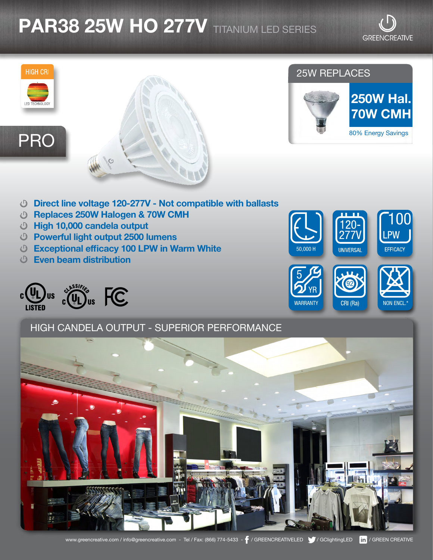# **PAR38 25W HO 277V** TITANIUM LED SERIES

**GREENCREATIVE** 

UNIVERSAL

92

CRI (Ra)

SEMI NON ENCL.\*

**PW** 

EFFICACY

**WARRANTY** YR

50,000 H

5



- Direct line voltage 120-277V Not compatible with ballasts
- Replaces 250W Halogen & 70W CMH
- High 10,000 candela output
- Powerful light output 2500 lumens
- Exceptional efficacy 100 LPW in Warm White
- Even beam distribution

CO US & CO US FC

## HIGH CANDELA OUTPUT - SUPERIOR PERFORMANCE